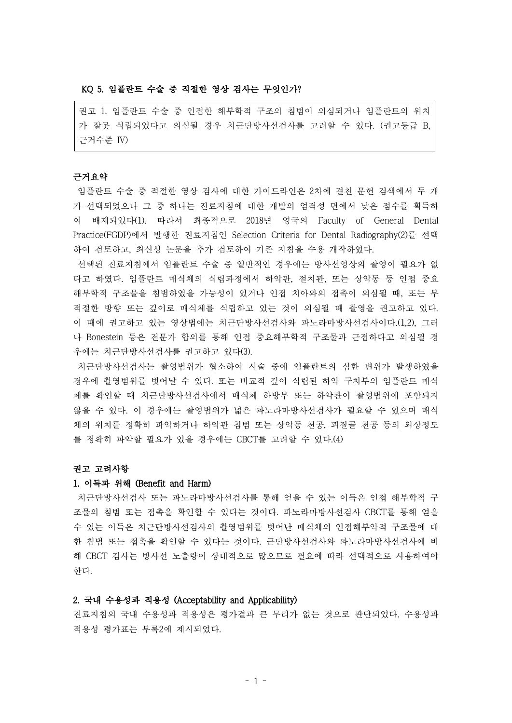## KQ 5. 임플란트 수술 중 적절한 영상 검사는 무엇인가?

권고 1. 임플란트 수술 중 인접한 해부학적 구조의 침범이 의심되거나 임플란트의 위치 가 잘못 식립되었다고 의심될 경우 치근단방사선검사를 고려할 수 있다. (권고등급 B, 근거수준 IV)

#### 근거요약

임플란트 수술 중 적절한 영상 검사에 대한 가이드라인은 2차에 걸친 문헌 검색에서 두 개 가 선택되었으나 그 중 하나는 진료지침에 대한 개발의 엄격성 면에서 낮은 점수를 획득하 여 배제되었다(1). 따라서 최종적으로 2018년 영국의 Faculty of General Dental Practice(FGDP)에서 발행한 진료지침인 Selection Criteria for Dental Radiography(2)를 선택 하여 검토하고, 최신성 논문을 추가 검토하여 기존 지침을 수용 개작하였다.

선택된 진료지침에서 임플란트 수술 중 일반적인 경우에는 방사선영상의 촬영이 필요가 없 다고 하였다. 임플란트 매식체의 식립과정에서 하악관, 절치관, 또는 상악동 등 인접 중요 해부학적 구조물을 침범하였을 가능성이 있거나 인접 치아와의 접촉이 의심될 때, 또는 부 적절한 방향 또는 깊이로 매식체를 식립하고 있는 것이 의심될 때 촬영을 권고하고 있다. 이 때에 권고하고 있는 영상법에는 치근단방사선검사와 파노라마방사선검사이다.(1,2), 그러 나 Bonestein 등은 전문가 합의를 통해 인접 중요해부학적 구조물과 근접하다고 의심될 경 우에는 치근단방사선검사를 권고하고 있다(3).

치근단방사선검사는 촬영범위가 협소하여 시술 중에 임플란트의 심한 변위가 발생하였을 경우에 촬영범위를 벗어날 수 있다. 또는 비교적 깊이 식립된 하악 구치부의 임플란트 매식 체를 확인할 때 치근단방사선검사에서 매식체 하방부 또는 하악관이 촬영범위에 포함되지 않을 수 있다. 이 경우에는 촬영범위가 넓은 파노라마방사선검사가 필요할 수 있으며 매식 체의 위치를 정확히 파악하거나 하악관 침범 또는 상악동 천공, 피질골 천공 등의 외상정도 를 정확히 파악할 필요가 있을 경우에는 CBCT를 고려할 수 있다.(4)

## 권고 고려사항

## 1. 이득과 위해 (Benefit and Harm)

치근단방사선검사 또는 파노라마방사선검사를 통해 얻을 수 있는 이득은 인접 해부학적 구 조물의 침범 또는 접촉을 확인할 수 있다는 것이다. 파노라마방사선검사 CBCT롤 통해 얻을 수 있는 이득은 치근단방사선검사의 촬영범위를 벗어난 매식체의 인접해부악적 구조물에 대 한 침범 또는 접촉을 확인할 수 있다는 것이다. 근단방사선검사와 파노라마방사선검사에 비 해 CBCT 검사는 방사선 노출량이 상대적으로 많으므로 필요에 따라 선택적으로 사용하여야 한다.

#### 2. 국내 수용성과 적용성 (Acceptability and Applicability)

진료지침의 국내 수용성과 적용성은 평가결과 큰 무리가 없는 것으로 판단되었다. 수용성과 적용성 평가표는 부록2에 제시되었다.